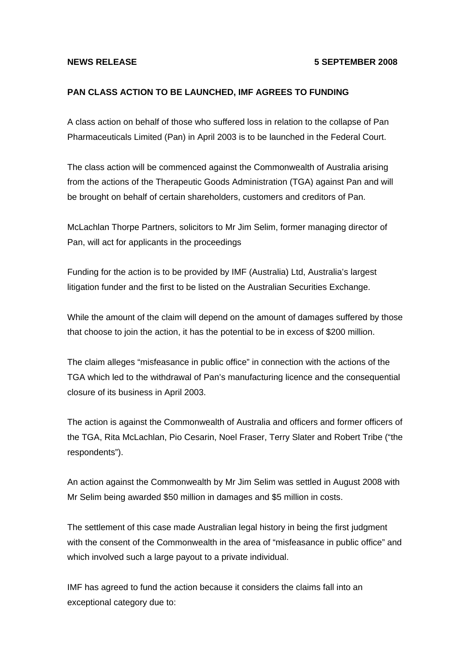## **NEWS RELEASE 5 SEPTEMBER 2008**

## **PAN CLASS ACTION TO BE LAUNCHED, IMF AGREES TO FUNDING**

A class action on behalf of those who suffered loss in relation to the collapse of Pan Pharmaceuticals Limited (Pan) in April 2003 is to be launched in the Federal Court.

The class action will be commenced against the Commonwealth of Australia arising from the actions of the Therapeutic Goods Administration (TGA) against Pan and will be brought on behalf of certain shareholders, customers and creditors of Pan.

McLachlan Thorpe Partners, solicitors to Mr Jim Selim, former managing director of Pan, will act for applicants in the proceedings

Funding for the action is to be provided by IMF (Australia) Ltd, Australia's largest litigation funder and the first to be listed on the Australian Securities Exchange.

While the amount of the claim will depend on the amount of damages suffered by those that choose to join the action, it has the potential to be in excess of \$200 million.

The claim alleges "misfeasance in public office" in connection with the actions of the TGA which led to the withdrawal of Pan's manufacturing licence and the consequential closure of its business in April 2003.

The action is against the Commonwealth of Australia and officers and former officers of the TGA, Rita McLachlan, Pio Cesarin, Noel Fraser, Terry Slater and Robert Tribe ("the respondents").

An action against the Commonwealth by Mr Jim Selim was settled in August 2008 with Mr Selim being awarded \$50 million in damages and \$5 million in costs.

The settlement of this case made Australian legal history in being the first judgment with the consent of the Commonwealth in the area of "misfeasance in public office" and which involved such a large payout to a private individual.

IMF has agreed to fund the action because it considers the claims fall into an exceptional category due to: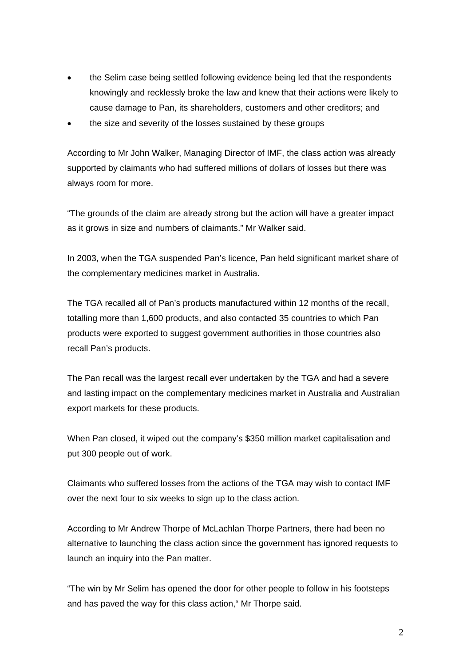- the Selim case being settled following evidence being led that the respondents knowingly and recklessly broke the law and knew that their actions were likely to cause damage to Pan, its shareholders, customers and other creditors; and
- the size and severity of the losses sustained by these groups

According to Mr John Walker, Managing Director of IMF, the class action was already supported by claimants who had suffered millions of dollars of losses but there was always room for more.

"The grounds of the claim are already strong but the action will have a greater impact as it grows in size and numbers of claimants." Mr Walker said.

In 2003, when the TGA suspended Pan's licence, Pan held significant market share of the complementary medicines market in Australia.

The TGA recalled all of Pan's products manufactured within 12 months of the recall, totalling more than 1,600 products, and also contacted 35 countries to which Pan products were exported to suggest government authorities in those countries also recall Pan's products.

The Pan recall was the largest recall ever undertaken by the TGA and had a severe and lasting impact on the complementary medicines market in Australia and Australian export markets for these products.

When Pan closed, it wiped out the company's \$350 million market capitalisation and put 300 people out of work.

Claimants who suffered losses from the actions of the TGA may wish to contact IMF over the next four to six weeks to sign up to the class action.

According to Mr Andrew Thorpe of McLachlan Thorpe Partners, there had been no alternative to launching the class action since the government has ignored requests to launch an inquiry into the Pan matter.

"The win by Mr Selim has opened the door for other people to follow in his footsteps and has paved the way for this class action," Mr Thorpe said.